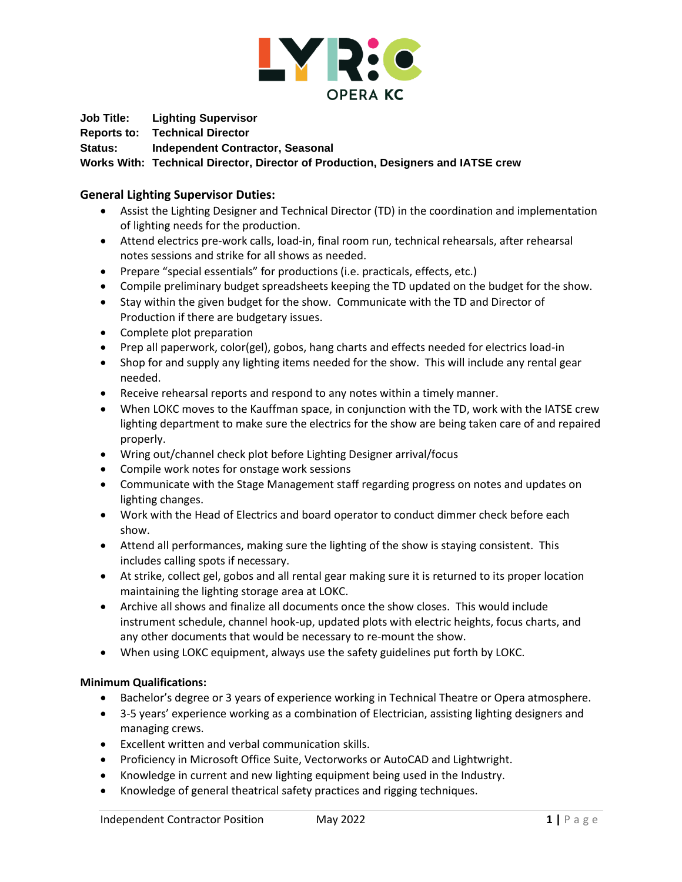

**Job Title: Lighting Supervisor**

**Reports to: Technical Director**

**Status: Independent Contractor, Seasonal**

**Works With: Technical Director, Director of Production, Designers and IATSE crew**

## **General Lighting Supervisor Duties:**

- Assist the Lighting Designer and Technical Director (TD) in the coordination and implementation of lighting needs for the production.
- Attend electrics pre-work calls, load-in, final room run, technical rehearsals, after rehearsal notes sessions and strike for all shows as needed.
- Prepare "special essentials" for productions (i.e. practicals, effects, etc.)
- Compile preliminary budget spreadsheets keeping the TD updated on the budget for the show.
- Stay within the given budget for the show. Communicate with the TD and Director of Production if there are budgetary issues.
- Complete plot preparation
- Prep all paperwork, color(gel), gobos, hang charts and effects needed for electrics load-in
- Shop for and supply any lighting items needed for the show. This will include any rental gear needed.
- Receive rehearsal reports and respond to any notes within a timely manner.
- When LOKC moves to the Kauffman space, in conjunction with the TD, work with the IATSE crew lighting department to make sure the electrics for the show are being taken care of and repaired properly.
- Wring out/channel check plot before Lighting Designer arrival/focus
- Compile work notes for onstage work sessions
- Communicate with the Stage Management staff regarding progress on notes and updates on lighting changes.
- Work with the Head of Electrics and board operator to conduct dimmer check before each show.
- Attend all performances, making sure the lighting of the show is staying consistent. This includes calling spots if necessary.
- At strike, collect gel, gobos and all rental gear making sure it is returned to its proper location maintaining the lighting storage area at LOKC.
- Archive all shows and finalize all documents once the show closes. This would include instrument schedule, channel hook-up, updated plots with electric heights, focus charts, and any other documents that would be necessary to re-mount the show.
- When using LOKC equipment, always use the safety guidelines put forth by LOKC.

## **Minimum Qualifications:**

- Bachelor's degree or 3 years of experience working in Technical Theatre or Opera atmosphere.
- 3-5 years' experience working as a combination of Electrician, assisting lighting designers and managing crews.
- Excellent written and verbal communication skills.
- Proficiency in Microsoft Office Suite, Vectorworks or AutoCAD and Lightwright.
- Knowledge in current and new lighting equipment being used in the Industry.
- Knowledge of general theatrical safety practices and rigging techniques.